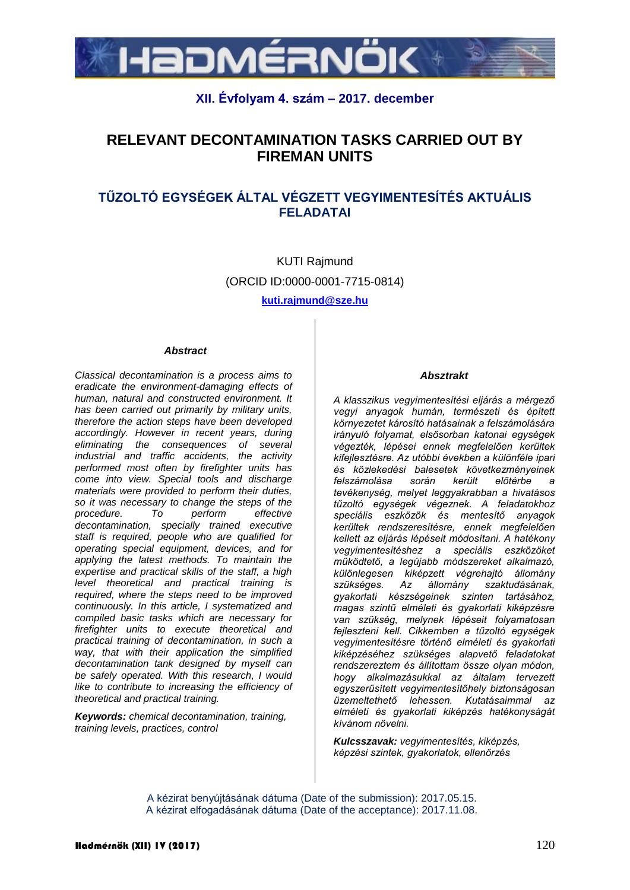

# **XII. Évfolyam 4. szám – 2017. december**

# **RELEVANT DECONTAMINATION TASKS CARRIED OUT BY FIREMAN UNITS**

# **TŰZOLTÓ EGYSÉGEK ÁLTAL VÉGZETT VEGYIMENTESÍTÉS AKTUÁLIS FELADATAI**

KUTI Rajmund (ORCID ID:0000-0001-7715-0814)

**[kuti.rajmund@sze.hu](mailto:kuti.rajmund@sze.hu)**

#### *Abstract*

*Classical decontamination is a process aims to eradicate the environment-damaging effects of human, natural and constructed environment. It has been carried out primarily by military units, therefore the action steps have been developed accordingly. However in recent years, during eliminating the consequences of several industrial and traffic accidents, the activity performed most often by firefighter units has come into view. Special tools and discharge materials were provided to perform their duties, so it was necessary to change the steps of the procedure. To perform effective decontamination, specially trained executive staff is required, people who are qualified for operating special equipment, devices, and for applying the latest methods. To maintain the expertise and practical skills of the staff, a high level theoretical and practical training is required, where the steps need to be improved continuously. In this article, I systematized and compiled basic tasks which are necessary for firefighter units to execute theoretical and practical training of decontamination, in such a way, that with their application the simplified decontamination tank designed by myself can be safely operated. With this research, I would like to contribute to increasing the efficiency of theoretical and practical training.*

*Keywords: chemical decontamination, training, training levels, practices, control*

#### *Absztrakt*

*A klasszikus vegyimentesítési eljárás a mérgező vegyi anyagok humán, természeti és épített környezetet károsító hatásainak a felszámolására irányuló folyamat, elsősorban katonai egységek végezték, lépései ennek megfelelően kerültek kifejlesztésre. Az utóbbi években a különféle ipari és közlekedési balesetek következményeinek felszámolása során került előtérbe a tevékenység, melyet leggyakrabban a hivatásos tűzoltó egységek végeznek. A feladatokhoz speciális eszközök és mentesítő anyagok kerültek rendszeresítésre, ennek megfelelően kellett az eljárás lépéseit módosítani. A hatékony vegyimentesítéshez a speciális eszközöket működtető, a legújabb módszereket alkalmazó, különlegesen kiképzett végrehajtó állomány*  szükséges. Az *gyakorlati készségeinek szinten tartásához, magas szintű elméleti és gyakorlati kiképzésre van szükség, melynek lépéseit folyamatosan fejleszteni kell. Cikkemben a tűzoltó egységek vegyimentesítésre történő elméleti és gyakorlati kiképzéséhez szükséges alapvető feladatokat rendszereztem és állítottam össze olyan módon, hogy alkalmazásukkal az általam tervezett egyszerűsített vegyimentesítőhely biztonságosan üzemeltethető lehessen. Kutatásaimmal az elméleti és gyakorlati kiképzés hatékonyságát kívánom növelni.*

*Kulcsszavak: vegyimentesítés, kiképzés, képzési szintek, gyakorlatok, ellenőrzés*

A kézirat benyújtásának dátuma (Date of the submission): 2017.05.15. A kézirat elfogadásának dátuma (Date of the acceptance): 2017.11.08.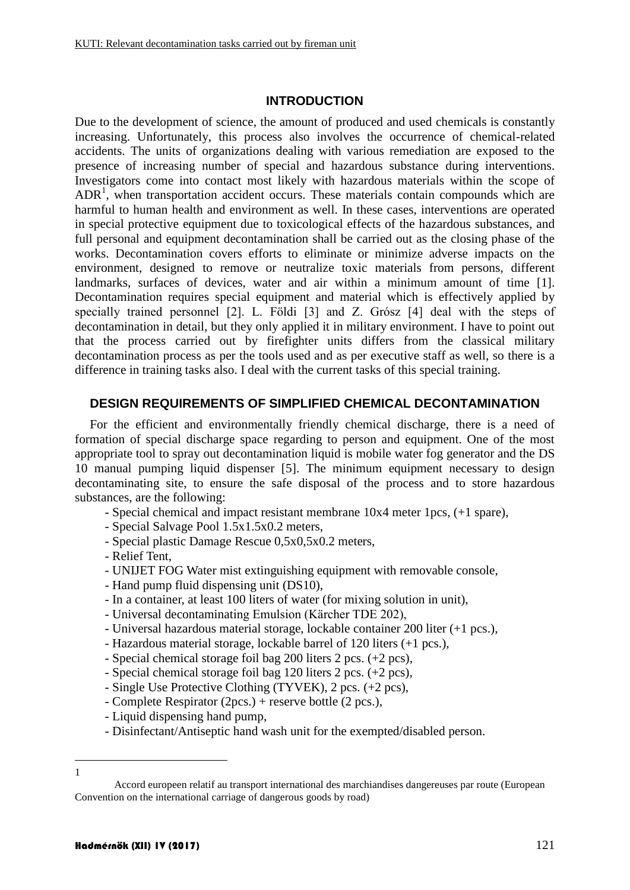### **INTRODUCTION**

Due to the development of science, the amount of produced and used chemicals is constantly increasing. Unfortunately, this process also involves the occurrence of chemical-related accidents. The units of organizations dealing with various remediation are exposed to the presence of increasing number of special and hazardous substance during interventions. Investigators come into contact most likely with hazardous materials within the scope of  $ADR<sup>1</sup>$ , when transportation accident occurs. These materials contain compounds which are harmful to human health and environment as well. In these cases, interventions are operated in special protective equipment due to toxicological effects of the hazardous substances, and full personal and equipment decontamination shall be carried out as the closing phase of the works. Decontamination covers efforts to eliminate or minimize adverse impacts on the environment, designed to remove or neutralize toxic materials from persons, different landmarks, surfaces of devices, water and air within a minimum amount of time [1]. Decontamination requires special equipment and material which is effectively applied by specially trained personnel [2]. L. Földi [3] and Z. Grósz [4] deal with the steps of decontamination in detail, but they only applied it in military environment. I have to point out that the process carried out by firefighter units differs from the classical military decontamination process as per the tools used and as per executive staff as well, so there is a difference in training tasks also. I deal with the current tasks of this special training.

# **DESIGN REQUIREMENTS OF SIMPLIFIED CHEMICAL DECONTAMINATION**

For the efficient and environmentally friendly chemical discharge, there is a need of formation of special discharge space regarding to person and equipment. One of the most appropriate tool to spray out decontamination liquid is mobile water fog generator and the DS 10 manual pumping liquid dispenser [5]. The minimum equipment necessary to design decontaminating site, to ensure the safe disposal of the process and to store hazardous substances, are the following:

- Special chemical and impact resistant membrane 10x4 meter 1pcs, (+1 spare),
- Special Salvage Pool 1.5x1.5x0.2 meters,
- Special plastic Damage Rescue 0,5x0,5x0.2 meters,
- Relief Tent,
- UNIJET FOG Water mist extinguishing equipment with removable console,
- Hand pump fluid dispensing unit (DS10),
- In a container, at least 100 liters of water (for mixing solution in unit),
- Universal decontaminating Emulsion (Kärcher TDE 202),
- Universal hazardous material storage, lockable container 200 liter (+1 pcs.),
- Hazardous material storage, lockable barrel of 120 liters (+1 pcs.),
- Special chemical storage foil bag 200 liters 2 pcs. (+2 pcs),
- Special chemical storage foil bag 120 liters 2 pcs. (+2 pcs),
- Single Use Protective Clothing (TYVEK), 2 pcs. (+2 pcs),
- Complete Respirator (2pcs.) + reserve bottle (2 pcs.),
- Liquid dispensing hand pump,
- Disinfectant/Antiseptic hand wash unit for the exempted/disabled person.
- 1 1

Accord europeen relatif au transport international des marchiandises dangereuses par route (European Convention on the international carriage of dangerous goods by road)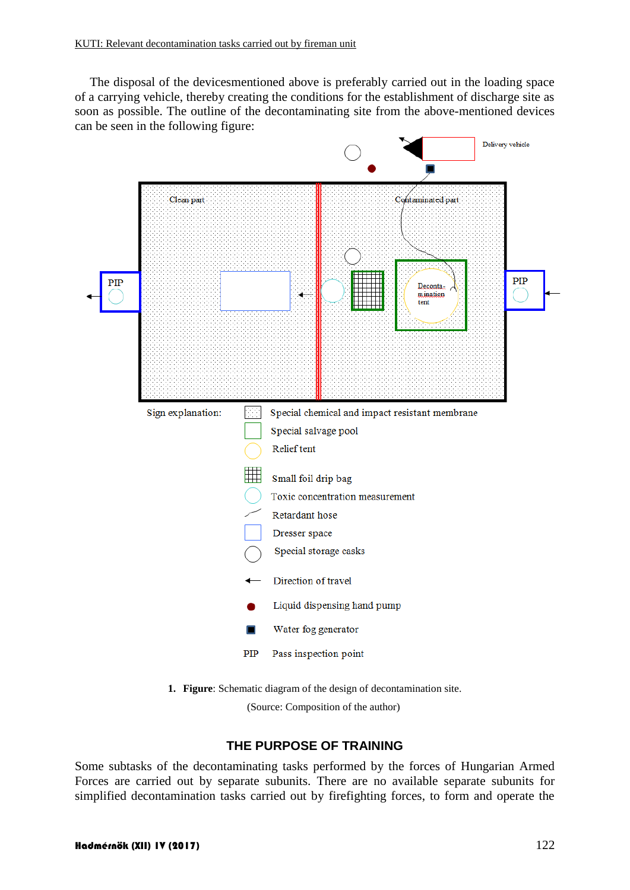The disposal of the devicesmentioned above is preferably carried out in the loading space of a carrying vehicle, thereby creating the conditions for the establishment of discharge site as soon as possible. The outline of the decontaminating site from the above-mentioned devices can be seen in the following figure:



**1. Figure**: Schematic diagram of the design of decontamination site.

(Source: Composition of the author)

# **THE PURPOSE OF TRAINING**

Some subtasks of the decontaminating tasks performed by the forces of Hungarian Armed Forces are carried out by separate subunits. There are no available separate subunits for simplified decontamination tasks carried out by firefighting forces, to form and operate the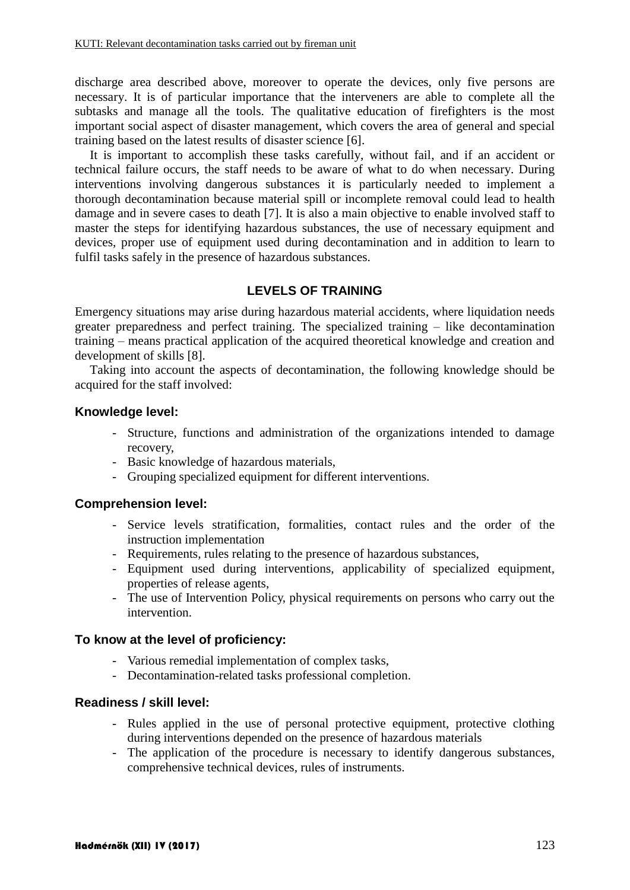discharge area described above, moreover to operate the devices, only five persons are necessary. It is of particular importance that the interveners are able to complete all the subtasks and manage all the tools. The qualitative education of firefighters is the most important social aspect of disaster management, which covers the area of general and special training based on the latest results of disaster science [6].

It is important to accomplish these tasks carefully, without fail, and if an accident or technical failure occurs, the staff needs to be aware of what to do when necessary. During interventions involving dangerous substances it is particularly needed to implement a thorough decontamination because material spill or incomplete removal could lead to health damage and in severe cases to death [7]. It is also a main objective to enable involved staff to master the steps for identifying hazardous substances, the use of necessary equipment and devices, proper use of equipment used during decontamination and in addition to learn to fulfil tasks safely in the presence of hazardous substances.

# **LEVELS OF TRAINING**

Emergency situations may arise during hazardous material accidents, where liquidation needs greater preparedness and perfect training. The specialized training – like decontamination training – means practical application of the acquired theoretical knowledge and creation and development of skills [8].

Taking into account the aspects of decontamination, the following knowledge should be acquired for the staff involved:

### **Knowledge level:**

- Structure, functions and administration of the organizations intended to damage recovery,
- Basic knowledge of hazardous materials,
- Grouping specialized equipment for different interventions.

### **Comprehension level:**

- Service levels stratification, formalities, contact rules and the order of the instruction implementation
- Requirements, rules relating to the presence of hazardous substances,
- Equipment used during interventions, applicability of specialized equipment, properties of release agents,
- The use of Intervention Policy, physical requirements on persons who carry out the intervention.

#### **To know at the level of proficiency:**

- Various remedial implementation of complex tasks,
- Decontamination-related tasks professional completion.

#### **Readiness / skill level:**

- Rules applied in the use of personal protective equipment, protective clothing during interventions depended on the presence of hazardous materials
- The application of the procedure is necessary to identify dangerous substances, comprehensive technical devices, rules of instruments.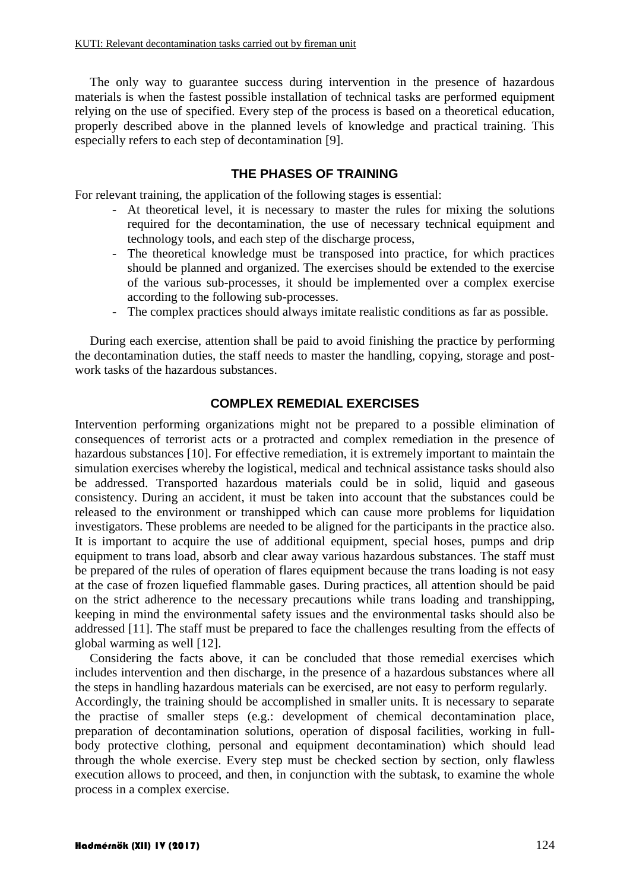The only way to guarantee success during intervention in the presence of hazardous materials is when the fastest possible installation of technical tasks are performed equipment relying on the use of specified. Every step of the process is based on a theoretical education, properly described above in the planned levels of knowledge and practical training. This especially refers to each step of decontamination [9].

# **THE PHASES OF TRAINING**

For relevant training, the application of the following stages is essential:

- At theoretical level, it is necessary to master the rules for mixing the solutions required for the decontamination, the use of necessary technical equipment and technology tools, and each step of the discharge process,
- The theoretical knowledge must be transposed into practice, for which practices should be planned and organized. The exercises should be extended to the exercise of the various sub-processes, it should be implemented over a complex exercise according to the following sub-processes.
- The complex practices should always imitate realistic conditions as far as possible.

During each exercise, attention shall be paid to avoid finishing the practice by performing the decontamination duties, the staff needs to master the handling, copying, storage and postwork tasks of the hazardous substances.

# **COMPLEX REMEDIAL EXERCISES**

Intervention performing organizations might not be prepared to a possible elimination of consequences of terrorist acts or a protracted and complex remediation in the presence of hazardous substances [10]. For effective remediation, it is extremely important to maintain the simulation exercises whereby the logistical, medical and technical assistance tasks should also be addressed. Transported hazardous materials could be in solid, liquid and gaseous consistency. During an accident, it must be taken into account that the substances could be released to the environment or transhipped which can cause more problems for liquidation investigators. These problems are needed to be aligned for the participants in the practice also. It is important to acquire the use of additional equipment, special hoses, pumps and drip equipment to trans load, absorb and clear away various hazardous substances. The staff must be prepared of the rules of operation of flares equipment because the trans loading is not easy at the case of frozen liquefied flammable gases. During practices, all attention should be paid on the strict adherence to the necessary precautions while trans loading and transhipping, keeping in mind the environmental safety issues and the environmental tasks should also be addressed [11]. The staff must be prepared to face the challenges resulting from the effects of global warming as well [12].

Considering the facts above, it can be concluded that those remedial exercises which includes intervention and then discharge, in the presence of a hazardous substances where all the steps in handling hazardous materials can be exercised, are not easy to perform regularly.

Accordingly, the training should be accomplished in smaller units. It is necessary to separate the practise of smaller steps (e.g.: development of chemical decontamination place, preparation of decontamination solutions, operation of disposal facilities, working in fullbody protective clothing, personal and equipment decontamination) which should lead through the whole exercise. Every step must be checked section by section, only flawless execution allows to proceed, and then, in conjunction with the subtask, to examine the whole process in a complex exercise.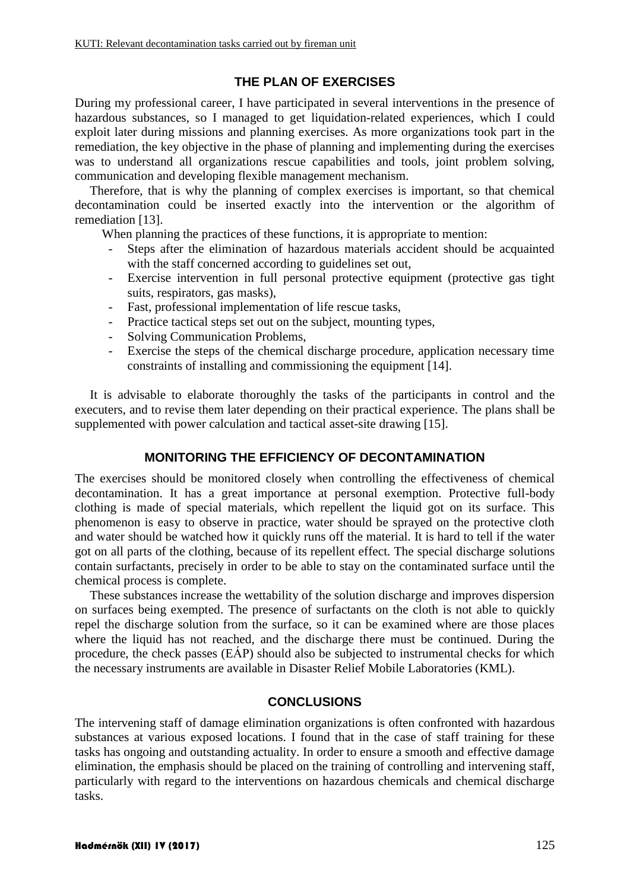# **THE PLAN OF EXERCISES**

During my professional career, I have participated in several interventions in the presence of hazardous substances, so I managed to get liquidation-related experiences, which I could exploit later during missions and planning exercises. As more organizations took part in the remediation, the key objective in the phase of planning and implementing during the exercises was to understand all organizations rescue capabilities and tools, joint problem solving, communication and developing flexible management mechanism.

Therefore, that is why the planning of complex exercises is important, so that chemical decontamination could be inserted exactly into the intervention or the algorithm of remediation [13].

When planning the practices of these functions, it is appropriate to mention:

- Steps after the elimination of hazardous materials accident should be acquainted with the staff concerned according to guidelines set out,
- Exercise intervention in full personal protective equipment (protective gas tight suits, respirators, gas masks),
- Fast, professional implementation of life rescue tasks,
- Practice tactical steps set out on the subject, mounting types,
- Solving Communication Problems,
- Exercise the steps of the chemical discharge procedure, application necessary time constraints of installing and commissioning the equipment [14].

It is advisable to elaborate thoroughly the tasks of the participants in control and the executers, and to revise them later depending on their practical experience. The plans shall be supplemented with power calculation and tactical asset-site drawing [15].

# **MONITORING THE EFFICIENCY OF DECONTAMINATION**

The exercises should be monitored closely when controlling the effectiveness of chemical decontamination. It has a great importance at personal exemption. Protective full-body clothing is made of special materials, which repellent the liquid got on its surface. This phenomenon is easy to observe in practice, water should be sprayed on the protective cloth and water should be watched how it quickly runs off the material. It is hard to tell if the water got on all parts of the clothing, because of its repellent effect. The special discharge solutions contain surfactants, precisely in order to be able to stay on the contaminated surface until the chemical process is complete.

These substances increase the wettability of the solution discharge and improves dispersion on surfaces being exempted. The presence of surfactants on the cloth is not able to quickly repel the discharge solution from the surface, so it can be examined where are those places where the liquid has not reached, and the discharge there must be continued. During the procedure, the check passes (EÁP) should also be subjected to instrumental checks for which the necessary instruments are available in Disaster Relief Mobile Laboratories (KML).

# **CONCLUSIONS**

The intervening staff of damage elimination organizations is often confronted with hazardous substances at various exposed locations. I found that in the case of staff training for these tasks has ongoing and outstanding actuality. In order to ensure a smooth and effective damage elimination, the emphasis should be placed on the training of controlling and intervening staff, particularly with regard to the interventions on hazardous chemicals and chemical discharge tasks.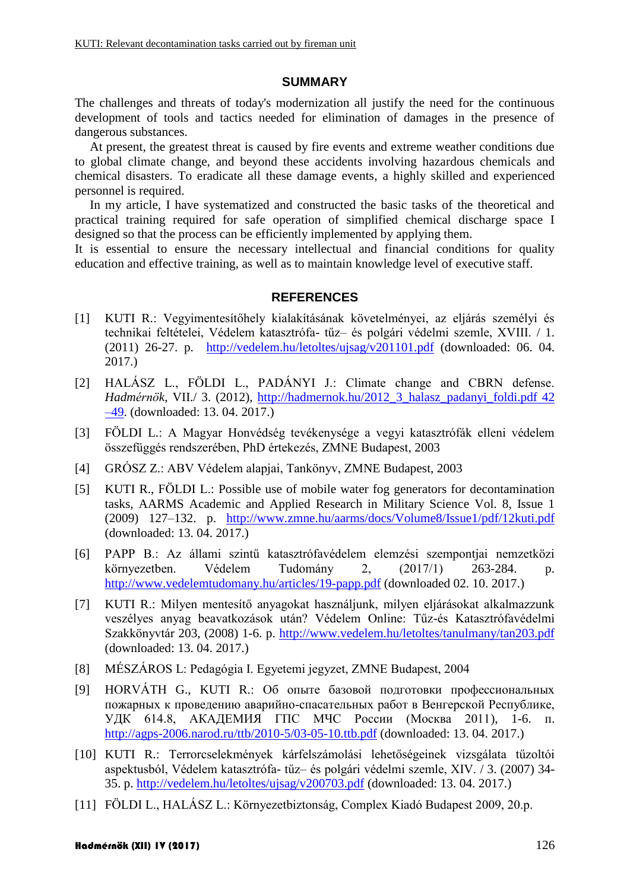#### **SUMMARY**

The challenges and threats of today's modernization all justify the need for the continuous development of tools and tactics needed for elimination of damages in the presence of dangerous substances.

At present, the greatest threat is caused by fire events and extreme weather conditions due to global climate change, and beyond these accidents involving hazardous chemicals and chemical disasters. To eradicate all these damage events, a highly skilled and experienced personnel is required.

In my article, I have systematized and constructed the basic tasks of the theoretical and practical training required for safe operation of simplified chemical discharge space I designed so that the process can be efficiently implemented by applying them.

It is essential to ensure the necessary intellectual and financial conditions for quality education and effective training, as well as to maintain knowledge level of executive staff.

# **REFERENCES**

- [1] KUTI R.: Vegyimentesítőhely kialakításának követelményei, az eljárás személyi és technikai feltételei, Védelem katasztrófa- tűz– és polgári védelmi szemle, XVIII. / 1. (2011) 26-27. p. <http://vedelem.hu/letoltes/ujsag/v201101.pdf> (downloaded: 06. 04. 2017.)
- [2] HALÁSZ L., FÖLDI L., PADÁNYI J.: Climate change and CBRN defense. *Hadmérnök*, VII./ 3. (2012), [http://hadmernok.hu/2012\\_3\\_halasz\\_padanyi\\_foldi.pdf 42](http://hadmernok.hu/2012_3_halasz_padanyi_foldi.pdf%2042%20–49)  [–49.](http://hadmernok.hu/2012_3_halasz_padanyi_foldi.pdf%2042%20–49) (downloaded: 13. 04. 2017.)
- [3] FÖLDI L.: A Magyar Honvédség tevékenysége a vegyi katasztrófák elleni védelem összefüggés rendszerében, PhD értekezés, ZMNE Budapest, 2003
- [4] GRÓSZ Z.: ABV Védelem alapjai, Tankönyv, ZMNE Budapest, 2003
- [5] KUTI R., FÖLDI L.: Possible use of mobile water fog generators for decontamination tasks, AARMS Academic and Applied Research in Military Science Vol. 8, Issue 1 (2009) 127–132. p. <http://www.zmne.hu/aarms/docs/Volume8/Issue1/pdf/12kuti.pdf> (downloaded: 13. 04. 2017.)
- [6] PAPP B.: Az állami szintű katasztrófavédelem elemzési szempontjai nemzetközi környezetben. Védelem Tudomány 2, (2017/1) 263-284. p. <http://www.vedelemtudomany.hu/articles/19-papp.pdf> (downloaded 02. 10. 2017.)
- [7] KUTI R.: Milyen mentesítő anyagokat használjunk, milyen eljárásokat alkalmazzunk veszélyes anyag beavatkozások után? Védelem Online: Tűz-és Katasztrófavédelmi Szakkönyvtár 203, (2008) 1-6. p. <http://www.vedelem.hu/letoltes/tanulmany/tan203.pdf> (downloaded: 13. 04. 2017.)
- [8] MÉSZÁROS L: Pedagógia I. Egyetemi jegyzet, ZMNE Budapest, 2004
- [9] HORVÁTH G., KUTI R.: Об опыте базовой подготовки профессиональных пожарных к проведению аварийно-спасательных работ в Венгерской Республике, УДК 614.8, АКАДЕМИЯ ГПС МЧС Poccии (Москва 2011), 1-6. п. <http://agps-2006.narod.ru/ttb/2010-5/03-05-10.ttb.pdf> (downloaded: 13. 04. 2017.)
- [10] KUTI R.: Terrorcselekmények kárfelszámolási lehetőségeinek vizsgálata tűzoltói aspektusból, Védelem katasztrófa- tűz– és polgári védelmi szemle, XIV. / 3. (2007) 34- 35. p.<http://vedelem.hu/letoltes/ujsag/v200703.pdf> (downloaded: 13. 04. 2017.)
- [11] FÖLDI L., HALÁSZ L.: Környezetbiztonság, Complex Kiadó Budapest 2009, 20.p.